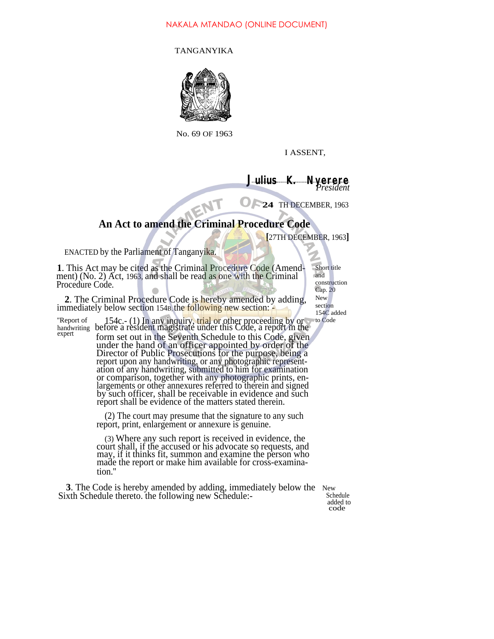## NAKALA MTANDAO (ONLINE DOCUMENT)

TANGANYIKA



No. 69 OF 1963

I ASSENT,

**<sup>J</sup>ulius K. Nyerere** *President*

**24** TH DECEMBER, 1963

# **An Act to amend the Criminal Procedure Code**

**[**27TH DECEMBER, 1963**]**

ENACTED by the Parliament of Tanganyika.

**1**. This Act may be cited as the Criminal Procedure Code (Amendment) (No. 2) Act, 1963, and shall be read as one with the Criminal Procedure Code.

and construction Cap. 20

Short title

**2**. The Criminal Procedure Code is hereby amended by adding, immediately below section 154B, the following new section:

"Report of 154c.- (1) In any inquiry, trial or other proceeding by or handwriting before a resident magistrate under this Code, a report in the expert form set out in the Seventh Schedule to this Code, given under the hand of an officer appointed by order of the Director of Public Prosecutions for the purpose, being a

report upon any handwriting, or any photographic representation of any handwriting, submitted to him for examination or comparison, together with any photographic prints, enlargements or other annexures referred to therein and signed by such officer, shall be receivable in evidence and such report shall be evidence of the matters stated therein.

(2) The court may presume that the signature to any such report, print, enlargement or annexure is genuine.

(3) Where any such report is received in evidence, the court shall, if the accused or his advocate so requests, and may, if it thinks fit, summon and examine the person who made the report or make him available for cross-examination.''

**3**. The Code is hereby amended by adding, immediately below the New xth Schedule thereto, the following new Schedule: Sixth Schedule thereto. the following new Schedule:-

added to code

New

section 154C added to Code